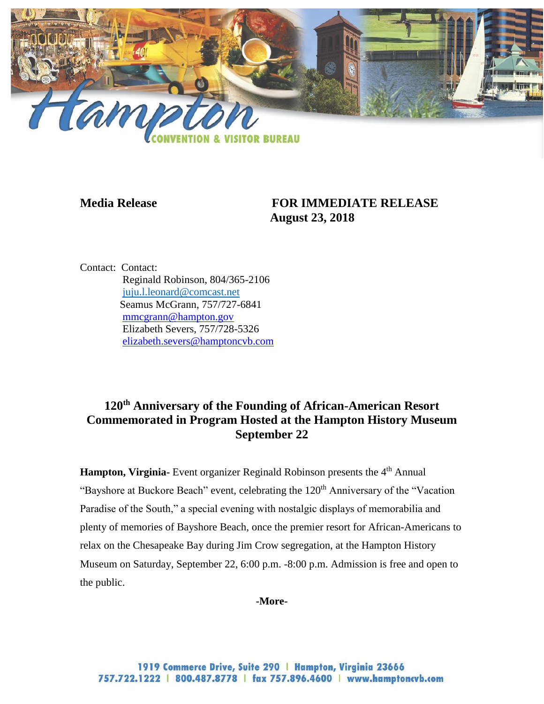

## **Media Release FOR IMMEDIATE RELEASE August 23, 2018**

Contact: Contact: Reginald Robinson, 804/365-2106 [juju.l.leonard@comcast.net](mailto:juju.l.leonard@comcast.net) Seamus McGrann, 757/727-6841 [mmcgrann@hampton.gov](mailto:mmcgrann@hampton.gov) Elizabeth Severs, 757/728-5326 [elizabeth.severs@hamptoncvb.com](mailto:elizabeth.severs@hamptoncvb.com)

## **120th Anniversary of the Founding of African-American Resort Commemorated in Program Hosted at the Hampton History Museum September 22**

**Hampton, Virginia-** Event organizer Reginald Robinson presents the 4<sup>th</sup> Annual "Bayshore at Buckore Beach" event, celebrating the 120<sup>th</sup> Anniversary of the "Vacation" Paradise of the South," a special evening with nostalgic displays of memorabilia and plenty of memories of Bayshore Beach, once the premier resort for African-Americans to relax on the Chesapeake Bay during Jim Crow segregation, at the Hampton History Museum on Saturday, September 22, 6:00 p.m. -8:00 p.m. Admission is free and open to the public.

**-More-**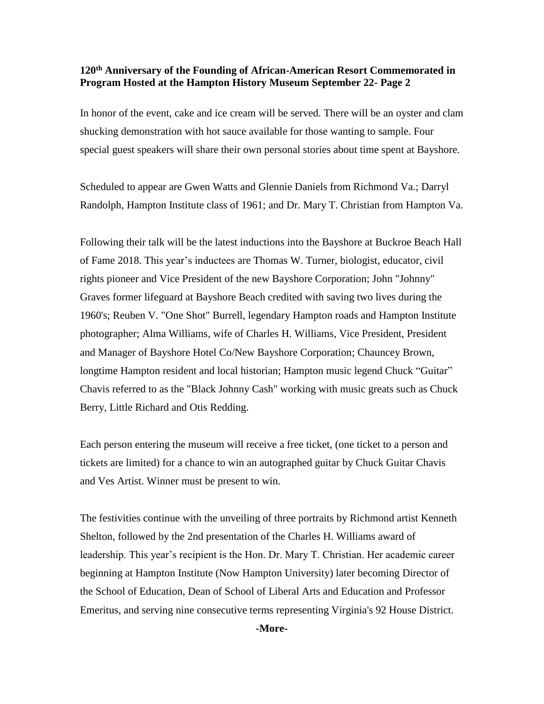## **120th Anniversary of the Founding of African-American Resort Commemorated in Program Hosted at the Hampton History Museum September 22- Page 2**

In honor of the event, cake and ice cream will be served. There will be an oyster and clam shucking demonstration with hot sauce available for those wanting to sample. Four special guest speakers will share their own personal stories about time spent at Bayshore.

Scheduled to appear are Gwen Watts and Glennie Daniels from Richmond Va.; Darryl Randolph, Hampton Institute class of 1961; and Dr. Mary T. Christian from Hampton Va.

Following their talk will be the latest inductions into the Bayshore at Buckroe Beach Hall of Fame 2018. This year's inductees are Thomas W. Turner, biologist, educator, civil rights pioneer and Vice President of the new Bayshore Corporation; John "Johnny" Graves former lifeguard at Bayshore Beach credited with saving two lives during the 1960's; Reuben V. "One Shot" Burrell, legendary Hampton roads and Hampton Institute photographer; Alma Williams, wife of Charles H. Williams, Vice President, President and Manager of Bayshore Hotel Co/New Bayshore Corporation; Chauncey Brown, longtime Hampton resident and local historian; Hampton music legend Chuck "Guitar" Chavis referred to as the "Black Johnny Cash" working with music greats such as Chuck Berry, Little Richard and Otis Redding.

Each person entering the museum will receive a free ticket, (one ticket to a person and tickets are limited) for a chance to win an autographed guitar by Chuck Guitar Chavis and Ves Artist. Winner must be present to win.

The festivities continue with the unveiling of three portraits by Richmond artist Kenneth Shelton, followed by the 2nd presentation of the Charles H. Williams award of leadership. This year's recipient is the Hon. Dr. Mary T. Christian. Her academic career beginning at Hampton Institute (Now Hampton University) later becoming Director of the School of Education, Dean of School of Liberal Arts and Education and Professor Emeritus, and serving nine consecutive terms representing Virginia's 92 House District.

**-More-**